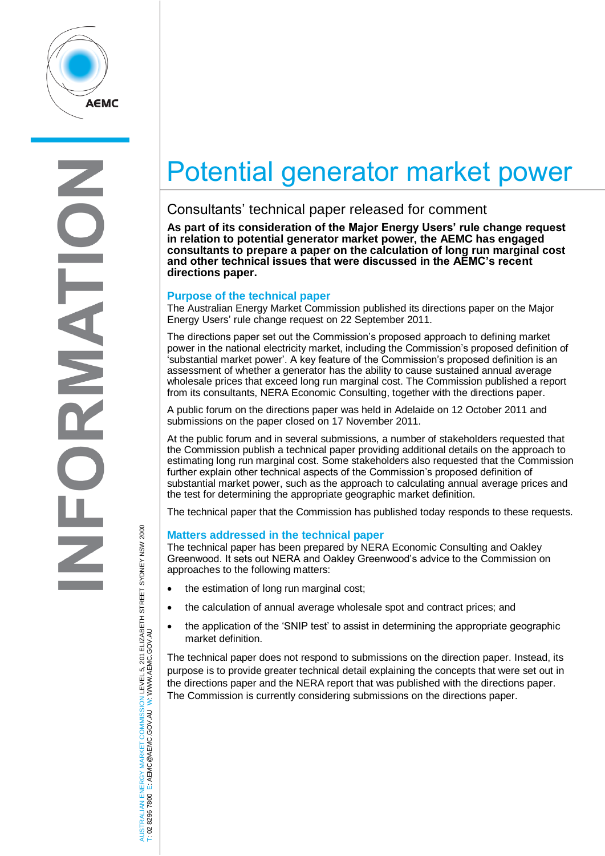

E Z

# Potential generator market power

## Consultants' technical paper released for comment

**As part of its consideration of the Major Energy Users' rule change request in relation to potential generator market power, the AEMC has engaged consultants to prepare a paper on the calculation of long run marginal cost and other technical issues that were discussed in the AEMC's recent directions paper.** 

### **Purpose of the technical paper**

The Australian Energy Market Commission published its directions paper on the Major Energy Users' rule change request on 22 September 2011.

The directions paper set out the Commission's proposed approach to defining market power in the national electricity market, including the Commission's proposed definition of 'substantial market power'. A key feature of the Commission's proposed definition is an assessment of whether a generator has the ability to cause sustained annual average wholesale prices that exceed long run marginal cost. The Commission published a report from its consultants, NERA Economic Consulting, together with the directions paper.

A public forum on the directions paper was held in Adelaide on 12 October 2011 and submissions on the paper closed on 17 November 2011.

At the public forum and in several submissions, a number of stakeholders requested that the Commission publish a technical paper providing additional details on the approach to estimating long run marginal cost. Some stakeholders also requested that the Commission further explain other technical aspects of the Commission's proposed definition of substantial market power, such as the approach to calculating annual average prices and the test for determining the appropriate geographic market definition.

The technical paper that the Commission has published today responds to these requests.

#### **Matters addressed in the technical paper**

The technical paper has been prepared by NERA Economic Consulting and Oakley Greenwood. It sets out NERA and Oakley Greenwood's advice to the Commission on approaches to the following matters:

- the estimation of long run marginal cost;
- the calculation of annual average wholesale spot and contract prices; and
- the application of the 'SNIP test' to assist in determining the appropriate geographic market definition.

The technical paper does not respond to submissions on the direction paper. Instead, its purpose is to provide greater technical detail explaining the concepts that were set out in the directions paper and the NERA report that was published with the directions paper. The Commission is currently considering submissions on the directions paper.

AUSTRALIAN ENERGY MARKET COMMISSION LEVEL 5, 201 ELIZABETH STREET SYDNEY NSW 2000<br>T: 02 8296 7800 E: AEMC@AEMC.GOV.AU W: WWW.AEMC.GOV.AU AUSTRALIAN ENERGY MARKET COMMISSION LEVEL 5, 201 ELIZABETH STREET SYDNEY NSW 2000 W: WWW.AEMC.GOV.AU T: 02 8296 7800 E: AEMC@AEMC.GOV.AU